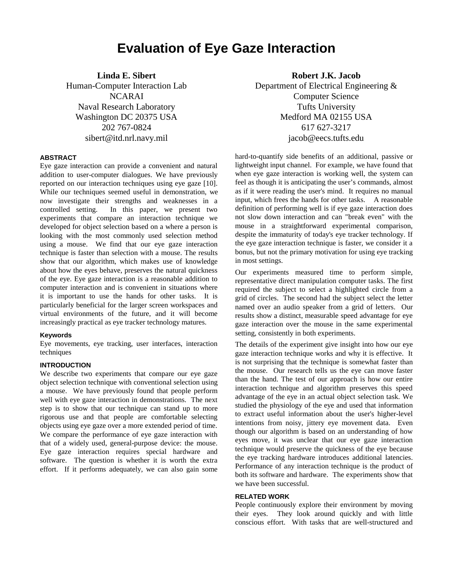# **Evaluation of Eye Gaze Interaction**

**Linda E. Sibert** Human-Computer Interaction Lab NCARAI Naval Research Laboratory Washington DC 20375 USA 202 767-0824 sibert@itd.nrl.navy.mil

#### **ABSTRACT**

Eye gaze interaction can provide a convenient and natural addition to user-computer dialogues. We have previously reported on our interaction techniques using eye gaze [10]. While our techniques seemed useful in demonstration, we now investigate their strengths and weaknesses in a controlled setting. In this paper, we present two experiments that compare an interaction technique we developed for object selection based on a where a person is looking with the most commonly used selection method using a mouse. We find that our eye gaze interaction technique is faster than selection with a mouse. The results show that our algorithm, which makes use of knowledge about how the eyes behave, preserves the natural quickness of the eye. Eye gaze interaction is a reasonable addition to computer interaction and is convenient in situations where it is important to use the hands for other tasks. It is particularly beneficial for the larger screen workspaces and virtual environments of the future, and it will become increasingly practical as eye tracker technology matures.

#### **Keywords**

Eye movements, eye tracking, user interfaces, interaction techniques

# **INTRODUCTION**

We describe two experiments that compare our eye gaze object selection technique with conventional selection using a mouse. We have previously found that people perform well with eye gaze interaction in demonstrations. The next step is to show that our technique can stand up to more rigorous use and that people are comfortable selecting objects using eye gaze over a more extended period of time. We compare the performance of eye gaze interaction with that of a widely used, general-purpose device: the mouse. Eye gaze interaction requires special hardware and software. The question is whether it is worth the extra effort. If it performs adequately, we can also gain some

**Robert J.K. Jacob** Department of Electrical Engineering & Computer Science Tufts University Medford MA 02155 USA 617 627-3217 jacob@eecs.tufts.edu

hard-to-quantify side benefits of an additional, passive or lightweight input channel. For example, we have found that when eye gaze interaction is working well, the system can feel as though it is anticipating the user's commands, almost as if it were reading the user's mind. It requires no manual input, which frees the hands for other tasks. A reasonable definition of performing well is if eye gaze interaction does not slow down interaction and can "break even" with the mouse in a straightforward experimental comparison, despite the immaturity of today's eye tracker technology. If the eye gaze interaction technique is faster, we consider it a bonus, but not the primary motivation for using eye tracking in most settings.

Our experiments measured time to perform simple, representative direct manipulation computer tasks. The first required the subject to select a highlighted circle from a grid of circles. The second had the subject select the letter named over an audio speaker from a grid of letters. Our results show a distinct, measurable speed advantage for eye gaze interaction over the mouse in the same experimental setting, consistently in both experiments.

The details of the experiment give insight into how our eye gaze interaction technique works and why it is effective. It is not surprising that the technique is somewhat faster than the mouse. Our research tells us the eye can move faster than the hand. The test of our approach is how our entire interaction technique and algorithm preserves this speed advantage of the eye in an actual object selection task. We studied the physiology of the eye and used that information to extract useful information about the user's higher-level intentions from noisy, jittery eye movement data. Even though our algorithm is based on an understanding of how eyes move, it was unclear that our eye gaze interaction technique would preserve the quickness of the eye because the eye tracking hardware introduces additional latencies. Performance of any interaction technique is the product of both its software and hardware. The experiments show that we have been successful.

## **RELATED WORK**

People continuously explore their environment by moving their eyes. They look around quickly and with little conscious effort. With tasks that are well-structured and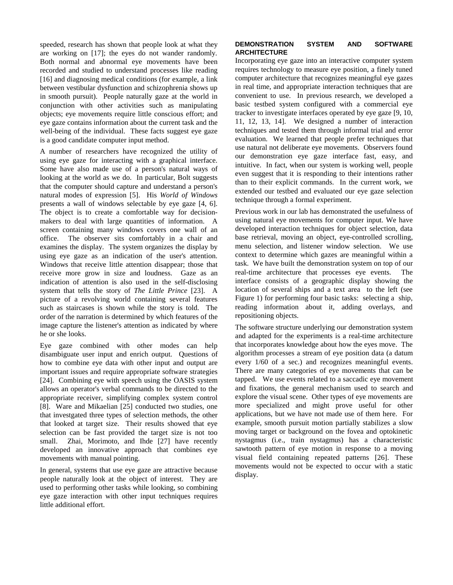speeded, research has shown that people look at what they are working on [17]; the eyes do not wander randomly. Both normal and abnormal eye movements have been recorded and studied to understand processes like reading [16] and diagnosing medical conditions (for example, a link between vestibular dysfunction and schizophrenia shows up in smooth pursuit). People naturally gaze at the world in conjunction with other activities such as manipulating objects; eye movements require little conscious effort; and eye gaze contains information about the current task and the well-being of the individual. These facts suggest eye gaze is a good candidate computer input method.

A number of researchers have recognized the utility of using eye gaze for interacting with a graphical interface. Some have also made use of a person's natural ways of looking at the world as we do. In particular, Bolt suggests that the computer should capture and understand a person's natural modes of expression [5]. His *World of Windows* presents a wall of windows selectable by eye gaze [4, 6]. The object is to create a comfortable way for decisionmakers to deal with large quantities of information. A screen containing many windows covers one wall of an office. The observer sits comfortably in a chair and examines the display. The system organizes the display by using eye gaze as an indication of the user's attention. Windows that receive little attention disappear; those that receive more grow in size and loudness. Gaze as an indication of attention is also used in the self-disclosing system that tells the story of *The Little Prince* [23]. A picture of a revolving world containing several features such as staircases is shown while the story is told. The order of the narration is determined by which features of the image capture the listener's attention as indicated by where he or she looks.

Eye gaze combined with other modes can help disambiguate user input and enrich output. Questions of how to combine eye data with other input and output are important issues and require appropriate software strategies [24]. Combining eye with speech using the OASIS system allows an operator's verbal commands to be directed to the appropriate receiver, simplifying complex system control [8]. Ware and Mikaelian [25] conducted two studies, one that investgated three types of selection methods, the other that looked at target size. Their results showed that eye selection can be fast provided the target size is not too small. Zhai, Morimoto, and Ihde [27] have recently developed an innovative approach that combines eye movements with manual pointing.

In general, systems that use eye gaze are attractive because people naturally look at the object of interest. They are used to performing other tasks while looking, so combining eye gaze interaction with other input techniques requires little additional effort.

# **DEMONSTRATION SYSTEM AND SOFTWARE ARCHITECTURE**

Incorporating eye gaze into an interactive computer system requires technology to measure eye position, a finely tuned computer architecture that recognizes meaningful eye gazes in real time, and appropriate interaction techniques that are convenient to use. In previous research, we developed a basic testbed system configured with a commercial eye tracker to investigate interfaces operated by eye gaze [9, 10, 11, 12, 13, 14]. We designed a number of interaction techniques and tested them through informal trial and error evaluation. We learned that people prefer techniques that use natural not deliberate eye movements. Observers found our demonstration eye gaze interface fast, easy, and intuitive. In fact, when our system is working well, people even suggest that it is responding to their intentions rather than to their explicit commands. In the current work, we extended our testbed and evaluated our eye gaze selection technique through a formal experiment.

Previous work in our lab has demonstrated the usefulness of using natural eye movements for computer input. We have developed interaction techniques for object selection, data base retrieval, moving an object, eye-controlled scrolling, menu selection, and listener window selection. We use context to determine which gazes are meaningful within a task. We have built the demonstration system on top of our real-time architecture that processes eye events. The interface consists of a geographic display showing the location of several ships and a text area to the left (see Figure 1) for performing four basic tasks: selecting a ship, reading information about it, adding overlays, and repositioning objects.

The software structure underlying our demonstration system and adapted for the experiments is a real-time architecture that incorporates knowledge about how the eyes move. The algorithm processes a stream of eye position data (a datum every 1/60 of a sec.) and recognizes meaningful events. There are many categories of eye movements that can be tapped. We use events related to a saccadic eye movement and fixations, the general mechanism used to search and explore the visual scene. Other types of eye movements are more specialized and might prove useful for other applications, but we have not made use of them here. For example, smooth pursuit motion partially stabilizes a slow moving target or background on the fovea and optokinetic nystagmus (i.e., train nystagmus) has a characteristic sawtooth pattern of eye motion in response to a moving visual field containing repeated patterns [26]. These movements would not be expected to occur with a static display.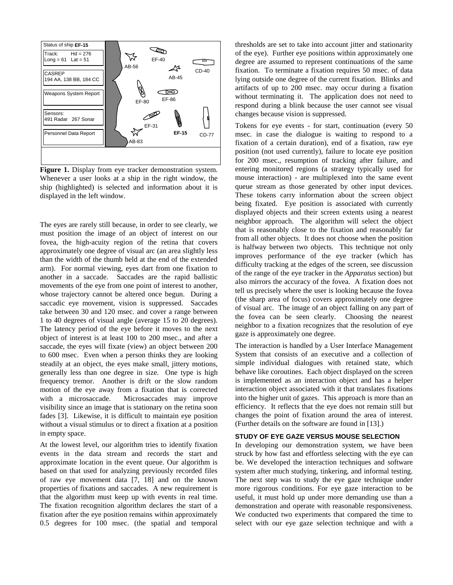

**Figure 1.** Display from eye tracker demonstration system. Whenever a user looks at a ship in the right window, the ship (highlighted) is selected and information about it is displayed in the left window.

The eyes are rarely still because, in order to see clearly, we must position the image of an object of interest on our fovea, the high-acuity region of the retina that covers approximately one degree of visual arc (an area slightly less than the width of the thumb held at the end of the extended arm). For normal viewing, eyes dart from one fixation to another in a saccade. Saccades are the rapid ballistic movements of the eye from one point of interest to another, whose trajectory cannot be altered once begun. During a saccadic eye movement, vision is suppressed. Saccades take between 30 and 120 msec. and cover a range between 1 to 40 degrees of visual angle (average 15 to 20 degrees). The latency period of the eye before it moves to the next object of interest is at least 100 to 200 msec., and after a saccade, the eyes will fixate (view) an object between 200 to 600 msec. Even when a person thinks they are looking steadily at an object, the eyes make small, jittery motions, generally less than one degree in size. One type is high frequency tremor. Another is drift or the slow random motion of the eye away from a fixation that is corrected with a microsaccade. Microsaccades may improve visibility since an image that is stationary on the retina soon fades [3]. Likewise, it is difficult to maintain eye position without a visual stimulus or to direct a fixation at a position in empty space.

At the lowest level, our algorithm tries to identify fixation events in the data stream and records the start and approximate location in the event queue. Our algorithm is based on that used for analyzing previously recorded files of raw eye movement data [7, 18] and on the known properties of fixations and saccades. A new requirement is that the algorithm must keep up with events in real time. The fixation recognition algorithm declares the start of a fixation after the eye position remains within approximately 0.5 degrees for 100 msec. (the spatial and temporal

thresholds are set to take into account jitter and stationarity of the eye). Further eye positions within approximately one degree are assumed to represent continuations of the same fixation. To terminate a fixation requires 50 msec. of data lying outside one degree of the current fixation. Blinks and artifacts of up to 200 msec. may occur during a fixation without terminating it. The application does not need to respond during a blink because the user cannot see visual changes because vision is suppressed.

Tokens for eye events - for start, continuation (every 50 msec. in case the dialogue is waiting to respond to a fixation of a certain duration), end of a fixation, raw eye position (not used currently), failure to locate eye position for 200 msec., resumption of tracking after failure, and entering monitored regions (a strategy typically used for mouse interaction) - are multiplexed into the same event queue stream as those generated by other input devices. These tokens carry information about the screen object being fixated. Eye position is associated with currently displayed objects and their screen extents using a nearest neighbor approach. The algorithm will select the object that is reasonably close to the fixation and reasonably far from all other objects. It does not choose when the position is halfway between two objects. This technique not only improves performance of the eye tracker (which has difficulty tracking at the edges of the screen, see discussion of the range of the eye tracker in the *Apparatus* section) but also mirrors the accuracy of the fovea. A fixation does not tell us precisely where the user is looking because the fovea (the sharp area of focus) covers approximately one degree of visual arc. The image of an object falling on any part of the fovea can be seen clearly. Choosing the nearest neighbor to a fixation recognizes that the resolution of eye gaze is approximately one degree.

The interaction is handled by a User Interface Management System that consists of an executive and a collection of simple individual dialogues with retained state, which behave like coroutines. Each object displayed on the screen is implemented as an interaction object and has a helper interaction object associated with it that translates fixations into the higher unit of gazes. This approach is more than an efficiency. It reflects that the eye does not remain still but changes the point of fixation around the area of interest. (Further details on the software are found in [13].)

#### **STUDY OF EYE GAZE VERSUS MOUSE SELECTION**

In developing our demonstration system, we have been struck by how fast and effortless selecting with the eye can be. We developed the interaction techniques and software system after much studying, tinkering, and informal testing. The next step was to study the eye gaze technique under more rigorous conditions. For eye gaze interaction to be useful, it must hold up under more demanding use than a demonstration and operate with reasonable responsiveness. We conducted two experiments that compared the time to select with our eye gaze selection technique and with a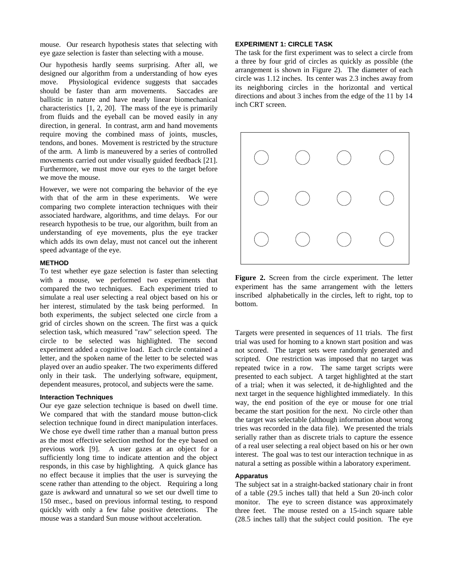mouse. Our research hypothesis states that selecting with eye gaze selection is faster than selecting with a mouse.

Our hypothesis hardly seems surprising. After all, we designed our algorithm from a understanding of how eyes move. Physiological evidence suggests that saccades should be faster than arm movements. Saccades are ballistic in nature and have nearly linear biomechanical characteristics [1, 2, 20]. The mass of the eye is primarily from fluids and the eyeball can be moved easily in any direction, in general. In contrast, arm and hand movements require moving the combined mass of joints, muscles, tendons, and bones. Movement is restricted by the structure of the arm. A limb is maneuvered by a series of controlled movements carried out under visually guided feedback [21]. Furthermore, we must move our eyes to the target before we move the mouse.

However, we were not comparing the behavior of the eye with that of the arm in these experiments. We were comparing two complete interaction techniques with their associated hardware, algorithms, and time delays. For our research hypothesis to be true, our algorithm, built from an understanding of eye movements, plus the eye tracker which adds its own delay, must not cancel out the inherent speed advantage of the eye.

#### **METHOD**

To test whether eye gaze selection is faster than selecting with a mouse, we performed two experiments that compared the two techniques. Each experiment tried to simulate a real user selecting a real object based on his or her interest, stimulated by the task being performed. In both experiments, the subject selected one circle from a grid of circles shown on the screen. The first was a quick selection task, which measured "raw" selection speed. The circle to be selected was highlighted. The second experiment added a cognitive load. Each circle contained a letter, and the spoken name of the letter to be selected was played over an audio speaker. The two experiments differed only in their task. The underlying software, equipment, dependent measures, protocol, and subjects were the same.

#### **Interaction Techniques**

Our eye gaze selection technique is based on dwell time. We compared that with the standard mouse button-click selection technique found in direct manipulation interfaces. We chose eye dwell time rather than a manual button press as the most effective selection method for the eye based on previous work [9]. A user gazes at an object for a sufficiently long time to indicate attention and the object responds, in this case by highlighting. A quick glance has no effect because it implies that the user is surveying the scene rather than attending to the object. Requiring a long gaze is awkward and unnatural so we set our dwell time to 150 msec., based on previous informal testing, to respond quickly with only a few false positive detections. The mouse was a standard Sun mouse without acceleration.

## **EXPERIMENT 1: CIRCLE TASK**

The task for the first experiment was to select a circle from a three by four grid of circles as quickly as possible (the arrangement is shown in Figure 2). The diameter of each circle was 1.12 inches. Its center was 2.3 inches away from its neighboring circles in the horizontal and vertical directions and about 3 inches from the edge of the 11 by 14 inch CRT screen.



**Figure 2.** Screen from the circle experiment. The letter experiment has the same arrangement with the letters inscribed alphabetically in the circles, left to right, top to bottom.

Targets were presented in sequences of 11 trials. The first trial was used for homing to a known start position and was not scored. The target sets were randomly generated and scripted. One restriction was imposed that no target was repeated twice in a row. The same target scripts were presented to each subject. A target highlighted at the start of a trial; when it was selected, it de-highlighted and the next target in the sequence highlighted immediately. In this way, the end position of the eye or mouse for one trial became the start position for the next. No circle other than the target was selectable (although information about wrong tries was recorded in the data file). We presented the trials serially rather than as discrete trials to capture the essence of a real user selecting a real object based on his or her own interest. The goal was to test our interaction technique in as natural a setting as possible within a laboratory experiment.

# **Apparatus**

The subject sat in a straight-backed stationary chair in front of a table (29.5 inches tall) that held a Sun 20-inch color monitor. The eye to screen distance was approximately three feet. The mouse rested on a 15-inch square table (28.5 inches tall) that the subject could position. The eye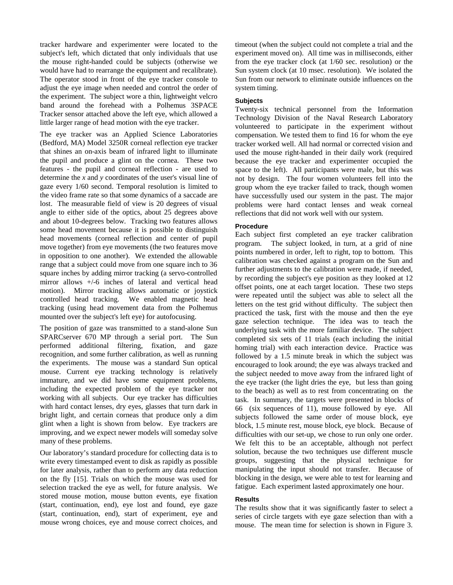tracker hardware and experimenter were located to the subject's left, which dictated that only individuals that use the mouse right-handed could be subjects (otherwise we would have had to rearrange the equipment and recalibrate). The operator stood in front of the eye tracker console to adjust the eye image when needed and control the order of the experiment. The subject wore a thin, lightweight velcro band around the forehead with a Polhemus 3SPACE Tracker sensor attached above the left eye, which allowed a little larger range of head motion with the eye tracker.

The eye tracker was an Applied Science Laboratories (Bedford, MA) Model 3250R corneal reflection eye tracker that shines an on-axis beam of infrared light to illuminate the pupil and produce a glint on the cornea. These two features - the pupil and corneal reflection - are used to determine the *x* and *y* coordinates of the user's visual line of gaze every 1/60 second. Temporal resolution is limited to the video frame rate so that some dynamics of a saccade are lost. The measurable field of view is 20 degrees of visual angle to either side of the optics, about 25 degrees above and about 10-degrees below. Tracking two features allows some head movement because it is possible to distinguish head movements (corneal reflection and center of pupil move together) from eye movements (the two features move in opposition to one another). We extended the allowable range that a subject could move from one square inch to 36 square inches by adding mirror tracking (a servo-controlled mirror allows +/-6 inches of lateral and vertical head motion). Mirror tracking allows automatic or joystick controlled head tracking. We enabled magnetic head tracking (using head movement data from the Polhemus mounted over the subject's left eye) for autofocusing.

The position of gaze was transmitted to a stand-alone Sun SPARCserver 670 MP through a serial port. The Sun performed additional filtering, fixation, and gaze recognition, and some further calibration, as well as running the experiments. The mouse was a standard Sun optical mouse. Current eye tracking technology is relatively immature, and we did have some equipment problems, including the expected problem of the eye tracker not working with all subjects. Our eye tracker has difficulties with hard contact lenses, dry eyes, glasses that turn dark in bright light, and certain corneas that produce only a dim glint when a light is shown from below. Eye trackers are improving, and we expect newer models will someday solve many of these problems.

Our laboratory's standard procedure for collecting data is to write every timestamped event to disk as rapidly as possible for later analysis, rather than to perform any data reduction on the fly [15]. Trials on which the mouse was used for selection tracked the eye as well, for future analysis. We stored mouse motion, mouse button events, eye fixation (start, continuation, end), eye lost and found, eye gaze (start, continuation, end), start of experiment, eye and mouse wrong choices, eye and mouse correct choices, and

timeout (when the subject could not complete a trial and the experiment moved on). All time was in milliseconds, either from the eye tracker clock (at 1/60 sec. resolution) or the Sun system clock (at 10 msec. resolution). We isolated the Sun from our network to eliminate outside influences on the system timing.

# **Subjects**

Twenty-six technical personnel from the Information Technology Division of the Naval Research Laboratory volunteered to participate in the experiment without compensation. We tested them to find 16 for whom the eye tracker worked well. All had normal or corrected vision and used the mouse right-handed in their daily work (required because the eye tracker and experimenter occupied the space to the left). All participants were male, but this was not by design. The four women volunteers fell into the group whom the eye tracker failed to track, though women have successfully used our system in the past. The major problems were hard contact lenses and weak corneal reflections that did not work well with our system.

## **Procedure**

Each subject first completed an eye tracker calibration program. The subject looked, in turn, at a grid of nine points numbered in order, left to right, top to bottom. This calibration was checked against a program on the Sun and further adjustments to the calibration were made, if needed, by recording the subject's eye position as they looked at 12 offset points, one at each target location. These two steps were repeated until the subject was able to select all the letters on the test grid without difficulty. The subject then practiced the task, first with the mouse and then the eye gaze selection technique. The idea was to teach the underlying task with the more familiar device. The subject completed six sets of 11 trials (each including the initial homing trial) with each interaction device. Practice was followed by a 1.5 minute break in which the subject was encouraged to look around; the eye was always tracked and the subject needed to move away from the infrared light of the eye tracker (the light dries the eye, but less than going to the beach) as well as to rest from concentrating on the task. In summary, the targets were presented in blocks of 66 (six sequences of 11), mouse followed by eye. All subjects followed the same order of mouse block, eye block, 1.5 minute rest, mouse block, eye block. Because of difficulties with our set-up, we chose to run only one order. We felt this to be an acceptable, although not perfect solution, because the two techniques use different muscle groups, suggesting that the physical technique for manipulating the input should not transfer. Because of blocking in the design, we were able to test for learning and fatigue. Each experiment lasted approximately one hour.

# **Results**

The results show that it was significantly faster to select a series of circle targets with eye gaze selection than with a mouse. The mean time for selection is shown in Figure 3.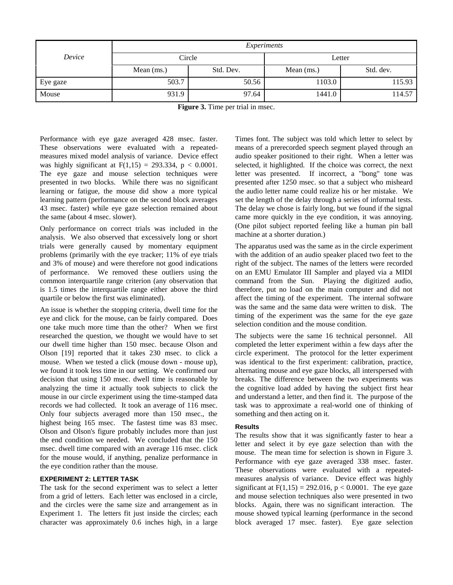| Device   | <i>Experiments</i> |           |            |           |
|----------|--------------------|-----------|------------|-----------|
|          | Circle             |           | Letter     |           |
|          | Mean (ms.)         | Std. Dev. | Mean (ms.) | Std. dev. |
| Eye gaze | 503.7              | 50.56     | 1103.0     | 115.93    |
| Mouse    | 931.9              | 97.64     | 1441.0     | 114.57    |

**Figure 3.** Time per trial in msec.

Performance with eye gaze averaged 428 msec. faster. These observations were evaluated with a repeatedmeasures mixed model analysis of variance. Device effect was highly significant at  $F(1,15) = 293.334$ ,  $p < 0.0001$ . The eye gaze and mouse selection techniques were presented in two blocks. While there was no significant learning or fatigue, the mouse did show a more typical learning pattern (performance on the second block averages 43 msec. faster) while eye gaze selection remained about the same (about 4 msec. slower).

Only performance on correct trials was included in the analysis. We also observed that excessively long or short trials were generally caused by momentary equipment problems (primarily with the eye tracker; 11% of eye trials and 3% of mouse) and were therefore not good indications of performance. We removed these outliers using the common interquartile range criterion (any observation that is 1.5 times the interquartile range either above the third quartile or below the first was eliminated).

An issue is whether the stopping criteria, dwell time for the eye and click for the mouse, can be fairly compared. Does one take much more time than the other? When we first researched the question, we thought we would have to set our dwell time higher than 150 msec. because Olson and Olson [19] reported that it takes 230 msec. to click a mouse. When we tested a click (mouse down - mouse up), we found it took less time in our setting. We confirmed our decision that using 150 msec. dwell time is reasonable by analyzing the time it actually took subjects to click the mouse in our circle experiment using the time-stamped data records we had collected. It took an average of 116 msec. Only four subjects averaged more than 150 msec., the highest being 165 msec. The fastest time was 83 msec. Olson and Olson's figure probably includes more than just the end condition we needed. We concluded that the 150 msec. dwell time compared with an average 116 msec. click for the mouse would, if anything, penalize performance in the eye condition rather than the mouse.

## **EXPERIMENT 2: LETTER TASK**

The task for the second experiment was to select a letter from a grid of letters. Each letter was enclosed in a circle, and the circles were the same size and arrangement as in Experiment 1. The letters fit just inside the circles; each character was approximately 0.6 inches high, in a large

Times font. The subject was told which letter to select by means of a prerecorded speech segment played through an audio speaker positioned to their right. When a letter was selected, it highlighted. If the choice was correct, the next letter was presented. If incorrect, a "bong" tone was presented after 1250 msec. so that a subject who misheard the audio letter name could realize his or her mistake. We set the length of the delay through a series of informal tests. The delay we chose is fairly long, but we found if the signal came more quickly in the eye condition, it was annoying. (One pilot subject reported feeling like a human pin ball machine at a shorter duration.)

The apparatus used was the same as in the circle experiment with the addition of an audio speaker placed two feet to the right of the subject. The names of the letters were recorded on an EMU Emulator III Sampler and played via a MIDI command from the Sun. Playing the digitized audio, therefore, put no load on the main computer and did not affect the timing of the experiment. The internal software was the same and the same data were written to disk. The timing of the experiment was the same for the eye gaze selection condition and the mouse condition.

The subjects were the same 16 technical personnel. All completed the letter experiment within a few days after the circle experiment. The protocol for the letter experiment was identical to the first experiment: calibration, practice, alternating mouse and eye gaze blocks, all interspersed with breaks. The difference between the two experiments was the cognitive load added by having the subject first hear and understand a letter, and then find it. The purpose of the task was to approximate a real-world one of thinking of something and then acting on it.

## **Results**

The results show that it was significantly faster to hear a letter and select it by eye gaze selection than with the mouse. The mean time for selection is shown in Figure 3. Performance with eye gaze averaged 338 msec. faster. These observations were evaluated with a repeatedmeasures analysis of variance. Device effect was highly significant at  $F(1,15) = 292.016$ ,  $p < 0.0001$ . The eye gaze and mouse selection techniques also were presented in two blocks. Again, there was no significant interaction. The mouse showed typical learning (performance in the second block averaged 17 msec. faster). Eye gaze selection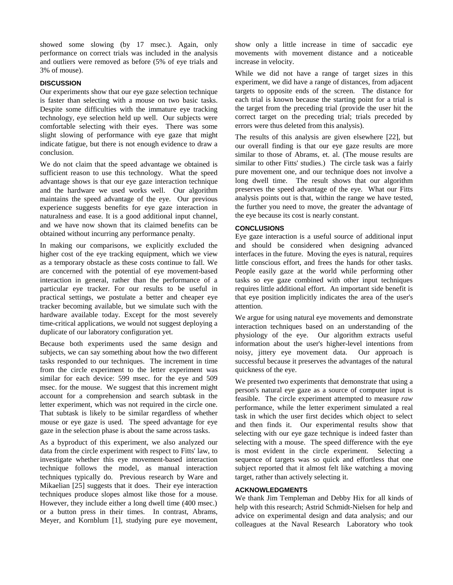showed some slowing (by 17 msec.). Again, only performance on correct trials was included in the analysis and outliers were removed as before (5% of eye trials and 3% of mouse).

# **DISCUSSION**

Our experiments show that our eye gaze selection technique is faster than selecting with a mouse on two basic tasks. Despite some difficulties with the immature eye tracking technology, eye selection held up well. Our subjects were comfortable selecting with their eyes. There was some slight slowing of performance with eye gaze that might indicate fatigue, but there is not enough evidence to draw a conclusion.

We do not claim that the speed advantage we obtained is sufficient reason to use this technology. What the speed advantage shows is that our eye gaze interaction technique and the hardware we used works well. Our algorithm maintains the speed advantage of the eye. Our previous experience suggests benefits for eye gaze interaction in naturalness and ease. It is a good additional input channel, and we have now shown that its claimed benefits can be obtained without incurring any performance penalty.

In making our comparisons, we explicitly excluded the higher cost of the eye tracking equipment, which we view as a temporary obstacle as these costs continue to fall. We are concerned with the potential of eye movement-based interaction in general, rather than the performance of a particular eye tracker. For our results to be useful in practical settings, we postulate a better and cheaper eye tracker becoming available, but we simulate such with the hardware available today. Except for the most severely time-critical applications, we would not suggest deploying a duplicate of our laboratory configuration yet.

Because both experiments used the same design and subjects, we can say something about how the two different tasks responded to our techniques. The increment in time from the circle experiment to the letter experiment was similar for each device: 599 msec. for the eye and 509 msec. for the mouse. We suggest that this increment might account for a comprehension and search subtask in the letter experiment, which was not required in the circle one. That subtask is likely to be similar regardless of whether mouse or eye gaze is used. The speed advantage for eye gaze in the selection phase is about the same across tasks.

As a byproduct of this experiment, we also analyzed our data from the circle experiment with respect to Fitts' law, to investigate whether this eye movement-based interaction technique follows the model, as manual interaction techniques typically do. Previous research by Ware and Mikaelian [25] suggests that it does. Their eye interaction techniques produce slopes almost like those for a mouse. However, they include either a long dwell time (400 msec.) or a button press in their times. In contrast, Abrams, Meyer, and Kornblum [1], studying pure eye movement,

show only a little increase in time of saccadic eye movements with movement distance and a noticeable increase in velocity.

While we did not have a range of target sizes in this experiment, we did have a range of distances, from adjacent targets to opposite ends of the screen. The distance for each trial is known because the starting point for a trial is the target from the preceding trial (provide the user hit the correct target on the preceding trial; trials preceded by errors were thus deleted from this analysis).

The results of this analysis are given elsewhere [22], but our overall finding is that our eye gaze results are more similar to those of Abrams, et. al. (The mouse results are similar to other Fitts' studies.) The circle task was a fairly pure movement one, and our technique does not involve a long dwell time. The result shows that our algorithm preserves the speed advantage of the eye. What our Fitts analysis points out is that, within the range we have tested, the further you need to move, the greater the advantage of the eye because its cost is nearly constant.

# **CONCLUSIONS**

Eye gaze interaction is a useful source of additional input and should be considered when designing advanced interfaces in the future. Moving the eyes is natural, requires little conscious effort, and frees the hands for other tasks. People easily gaze at the world while performing other tasks so eye gaze combined with other input techniques requires little additional effort. An important side benefit is that eye position implicitly indicates the area of the user's attention.

We argue for using natural eye movements and demonstrate interaction techniques based on an understanding of the physiology of the eye. Our algorithm extracts useful information about the user's higher-level intentions from noisy, jittery eye movement data. Our approach is successful because it preserves the advantages of the natural quickness of the eye.

We presented two experiments that demonstrate that using a person's natural eye gaze as a source of computer input is feasible. The circle experiment attempted to measure *raw* performance, while the letter experiment simulated a real task in which the user first decides which object to select and then finds it. Our experimental results show that selecting with our eye gaze technique is indeed faster than selecting with a mouse. The speed difference with the eye is most evident in the circle experiment. Selecting a sequence of targets was so quick and effortless that one subject reported that it almost felt like watching a moving target, rather than actively selecting it.

## **ACKNOWLEDGMENTS**

We thank Jim Templeman and Debby Hix for all kinds of help with this research; Astrid Schmidt-Nielsen for help and advice on experimental design and data analysis; and our colleagues at the Naval Research Laboratory who took